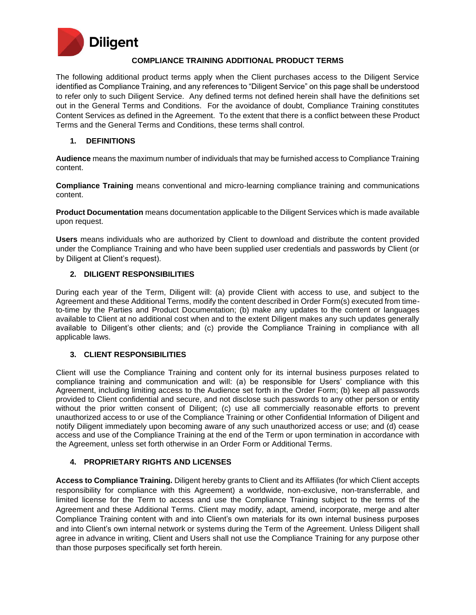

#### **COMPLIANCE TRAINING ADDITIONAL PRODUCT TERMS**

The following additional product terms apply when the Client purchases access to the Diligent Service identified as Compliance Training, and any references to "Diligent Service" on this page shall be understood to refer only to such Diligent Service. Any defined terms not defined herein shall have the definitions set out in the General Terms and Conditions. For the avoidance of doubt, Compliance Training constitutes Content Services as defined in the Agreement. To the extent that there is a conflict between these Product Terms and the General Terms and Conditions, these terms shall control.

### **1. DEFINITIONS**

**Audience** means the maximum number of individuals that may be furnished access to Compliance Training content.

**Compliance Training** means conventional and micro-learning compliance training and communications content.

**Product Documentation** means documentation applicable to the Diligent Services which is made available upon request.

**Users** means individuals who are authorized by Client to download and distribute the content provided under the Compliance Training and who have been supplied user credentials and passwords by Client (or by Diligent at Client's request).

### **2. DILIGENT RESPONSIBILITIES**

During each year of the Term, Diligent will: (a) provide Client with access to use, and subject to the Agreement and these Additional Terms, modify the content described in Order Form(s) executed from timeto-time by the Parties and Product Documentation; (b) make any updates to the content or languages available to Client at no additional cost when and to the extent Diligent makes any such updates generally available to Diligent's other clients; and (c) provide the Compliance Training in compliance with all applicable laws.

### **3. CLIENT RESPONSIBILITIES**

Client will use the Compliance Training and content only for its internal business purposes related to compliance training and communication and will: (a) be responsible for Users' compliance with this Agreement, including limiting access to the Audience set forth in the Order Form; (b) keep all passwords provided to Client confidential and secure, and not disclose such passwords to any other person or entity without the prior written consent of Diligent; (c) use all commercially reasonable efforts to prevent unauthorized access to or use of the Compliance Training or other Confidential Information of Diligent and notify Diligent immediately upon becoming aware of any such unauthorized access or use; and (d) cease access and use of the Compliance Training at the end of the Term or upon termination in accordance with the Agreement, unless set forth otherwise in an Order Form or Additional Terms.

# **4. PROPRIETARY RIGHTS AND LICENSES**

**Access to Compliance Training.** Diligent hereby grants to Client and its Affiliates (for which Client accepts responsibility for compliance with this Agreement) a worldwide, non-exclusive, non-transferrable, and limited license for the Term to access and use the Compliance Training subject to the terms of the Agreement and these Additional Terms. Client may modify, adapt, amend, incorporate, merge and alter Compliance Training content with and into Client's own materials for its own internal business purposes and into Client's own internal network or systems during the Term of the Agreement. Unless Diligent shall agree in advance in writing, Client and Users shall not use the Compliance Training for any purpose other than those purposes specifically set forth herein.